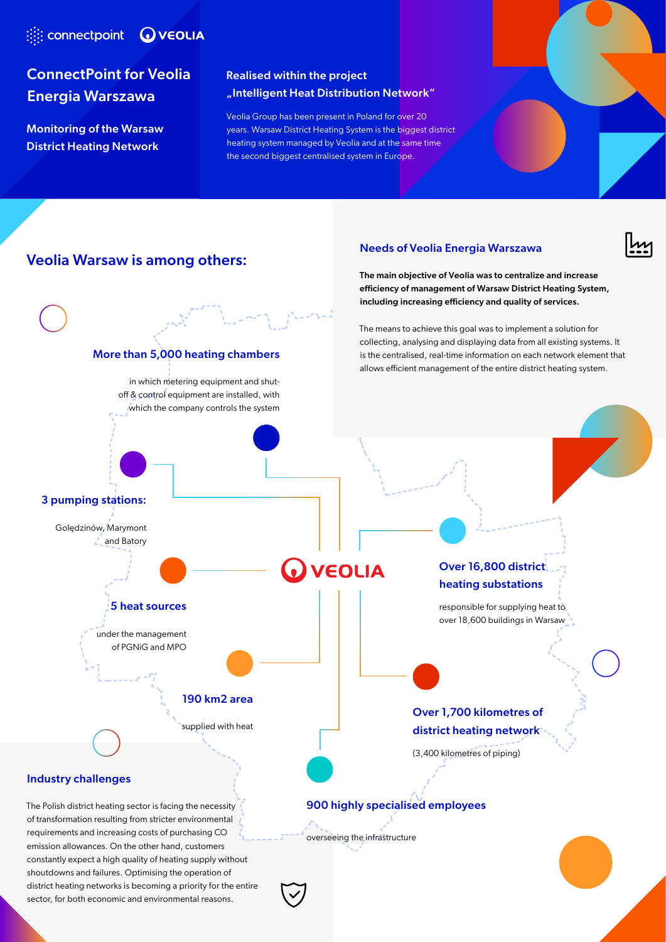# **Example 20 YEOLIA**

# ConnectPoint for Veolia Energia Warszawa

Monitoring of the Warsaw District Heating Network

### Realised within the project "Intelligent Heat Distribution Network"

Veolia Group has been present in Poland for over 20 years. Warsaw District Heating System is the biggest district heating system managed by Veolia and at the same time the second biggest centralised system in Europe.

## Veolia Warsaw is among others:

#### Needs of Veolia Energia Warszawa

The main objective of Veolia was to centralize and increase efficiency of management of Warsaw District Heating System, including increasing efficiency and quality of services.

The means to achieve this goal was to implement a solution for collecting, analysing and displaying data from all existing systems. It

### Industry challenges

The Polish district heating sector is facing the necessity of transformation resulting from stricter environmental requirements and increasing costs of purchasing CO₂ emission allowances. On the other hand, customers constantly expect a high quality of heating supply without shoutdowns and failures. Optimising the operation of district heating networks is becoming a priority for the entire sector, for both economic and environmental reasons.